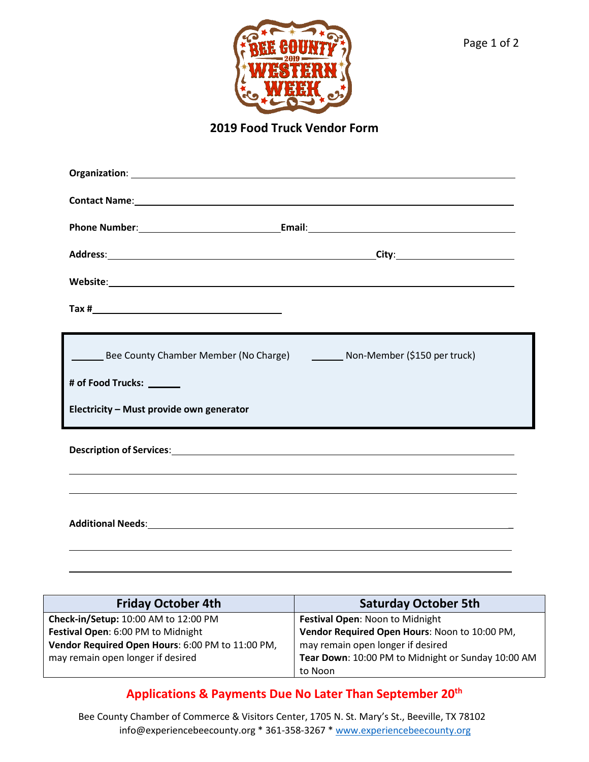

**2019 Food Truck Vendor Form**

| <b>Contact Name:</b> <u>Contact Name:</u> Contact Name: 2008. <b>Contact Name:</b> 2008. <b>Contact Name:</b> 2008. <b>Contact Name:</b> 2008. <b>Contact Name:</b> 2008. <b>Contact Name:</b> 2008. <b>Contact Name:</b> 2008. <b>Contact Name:</b> 2008. <b>Contact Name:</b> |
|---------------------------------------------------------------------------------------------------------------------------------------------------------------------------------------------------------------------------------------------------------------------------------|
|                                                                                                                                                                                                                                                                                 |
|                                                                                                                                                                                                                                                                                 |
|                                                                                                                                                                                                                                                                                 |
|                                                                                                                                                                                                                                                                                 |
|                                                                                                                                                                                                                                                                                 |
| Bee County Chamber Member (No Charge) __________ Non-Member (\$150 per truck)                                                                                                                                                                                                   |
| # of Food Trucks: ______                                                                                                                                                                                                                                                        |
| Electricity - Must provide own generator                                                                                                                                                                                                                                        |
|                                                                                                                                                                                                                                                                                 |
| ,我们也不能会有什么。""我们的人,我们也不能会有什么?""我们的人,我们也不能会有什么?""我们的人,我们也不能会有什么?""我们的人,我们也不能会有什么?""                                                                                                                                                                                               |
|                                                                                                                                                                                                                                                                                 |

| <b>Friday October 4th</b>                        | <b>Saturday October 5th</b>                        |
|--------------------------------------------------|----------------------------------------------------|
| Check-in/Setup: 10:00 AM to 12:00 PM             | Festival Open: Noon to Midnight                    |
| Festival Open: 6:00 PM to Midnight               | Vendor Required Open Hours: Noon to 10:00 PM,      |
| Vendor Required Open Hours: 6:00 PM to 11:00 PM, | may remain open longer if desired                  |
| may remain open longer if desired                | Tear Down: 10:00 PM to Midnight or Sunday 10:00 AM |
|                                                  | to Noon                                            |

## **Applications & Payments Due No Later Than September 20th**

Bee County Chamber of Commerce & Visitors Center, 1705 N. St. Mary's St., Beeville, TX 78102 [info@experiencebeecounty.org \\*](mailto:info@experiencebeecounty.org) [361-358-3267 \\* www.experie](http://www.experiencebeecounty.org/)ncebeecounty.org